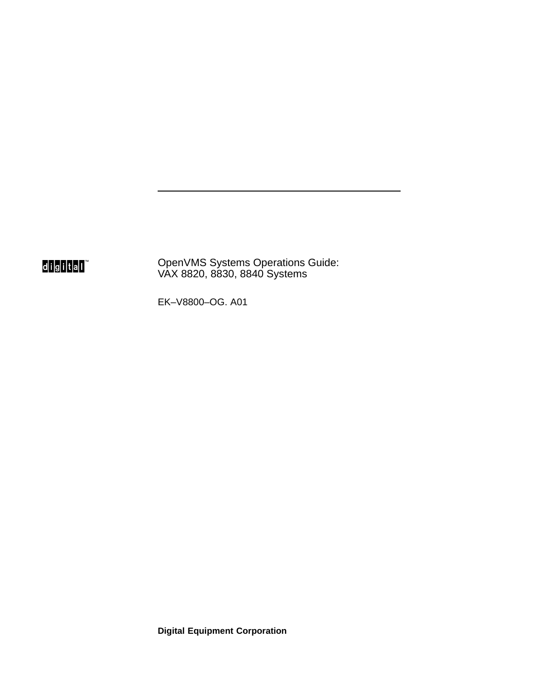digital<sup>"</sup>

OpenVMS Systems Operations Guide: VAX 8820, 8830, 8840 Systems

EK–V8800–OG. A01

**Digital Equipment Corporation**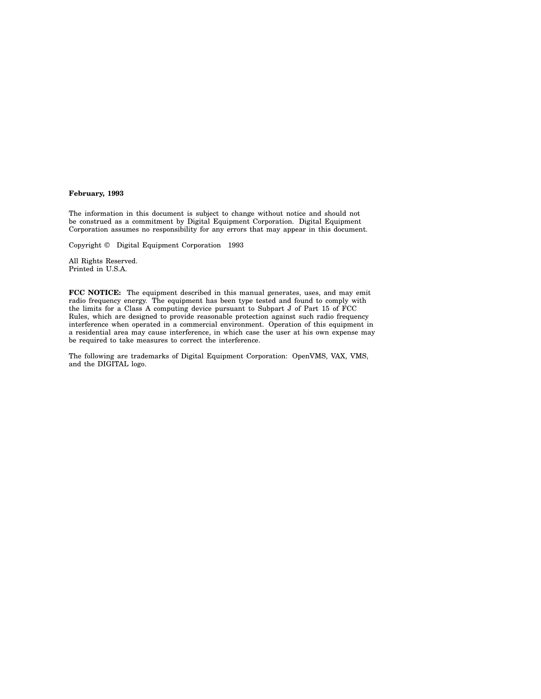#### **February, 1993**

The information in this document is subject to change without notice and should not be construed as a commitment by Digital Equipment Corporation. Digital Equipment Corporation assumes no responsibility for any errors that may appear in this document.

Copyright © Digital Equipment Corporation 1993

All Rights Reserved. Printed in U.S.A.

**FCC NOTICE:** The equipment described in this manual generates, uses, and may emit radio frequency energy. The equipment has been type tested and found to comply with the limits for a Class A computing device pursuant to Subpart J of Part 15 of FCC Rules, which are designed to provide reasonable protection against such radio frequency interference when operated in a commercial environment. Operation of this equipment in a residential area may cause interference, in which case the user at his own expense may be required to take measures to correct the interference.

The following are trademarks of Digital Equipment Corporation: OpenVMS, VAX, VMS, and the DIGITAL logo.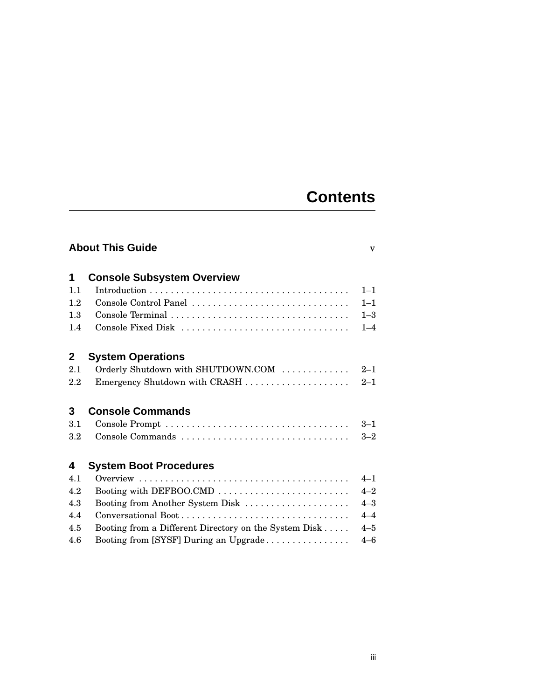## **Contents**

| <b>About This Guide</b><br>$\overline{\mathbf{V}}$ |                                                       |         |
|----------------------------------------------------|-------------------------------------------------------|---------|
| 1                                                  | <b>Console Subsystem Overview</b>                     |         |
| 1.1                                                |                                                       | $1 - 1$ |
| 1.2                                                | Console Control Panel                                 | $1 - 1$ |
| 1.3                                                | Console Terminal                                      | $1 - 3$ |
| 1.4                                                | Console Fixed Disk                                    | $1 - 4$ |
| $\mathbf{2}$                                       | <b>System Operations</b>                              |         |
| 2.1                                                | Orderly Shutdown with SHUTDOWN.COM                    | $2 - 1$ |
| 2.2                                                | Emergency Shutdown with CRASH                         | $2 - 1$ |
| 3                                                  | <b>Console Commands</b>                               |         |
| 3.1                                                |                                                       | $3 - 1$ |
| $3.2\,$                                            |                                                       | $3 - 2$ |
| 4                                                  | <b>System Boot Procedures</b>                         |         |
| 4.1                                                |                                                       | $4 - 1$ |
| 4.2                                                |                                                       | $4 - 2$ |
| 4.3                                                | Booting from Another System Disk                      | $4 - 3$ |
| 4.4                                                |                                                       | $4 - 4$ |
| 4.5                                                | Booting from a Different Directory on the System Disk | $4 - 5$ |
| 4.6                                                | Booting from [SYSF] During an Upgrade                 | $4 - 6$ |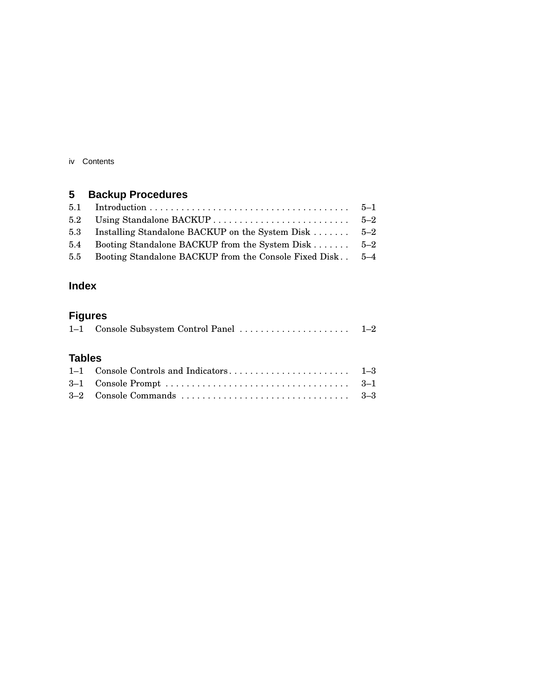iv Contents

## **5 Backup Procedures**

| 5.3 Installing Standalone BACKUP on the System Disk  5-2      |  |
|---------------------------------------------------------------|--|
| 5.4 Booting Standalone BACKUP from the System Disk 5–2        |  |
| 5.5 Booting Standalone BACKUP from the Console Fixed Disk 5-4 |  |
|                                                               |  |

### **Index**

## **Figures**

|--|--|--|--|--|--|

#### **Tables**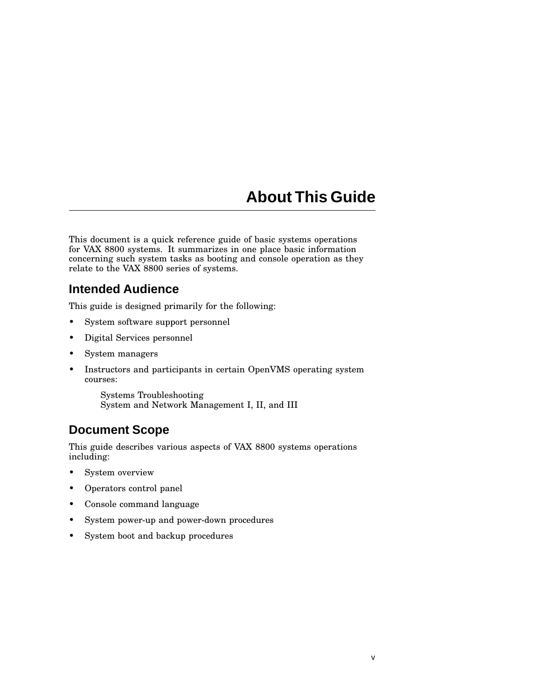## **About This Guide**

This document is a quick reference guide of basic systems operations for VAX 8800 systems. It summarizes in one place basic information concerning such system tasks as booting and console operation as they relate to the VAX 8800 series of systems.

### **Intended Audience**

This guide is designed primarily for the following:

- System software support personnel
- Digital Services personnel
- System managers
- Instructors and participants in certain OpenVMS operating system courses:

Systems Troubleshooting System and Network Management I, II, and III

## **Document Scope**

This guide describes various aspects of VAX 8800 systems operations including:

- System overview
- Operators control panel
- Console command language
- System power-up and power-down procedures
- System boot and backup procedures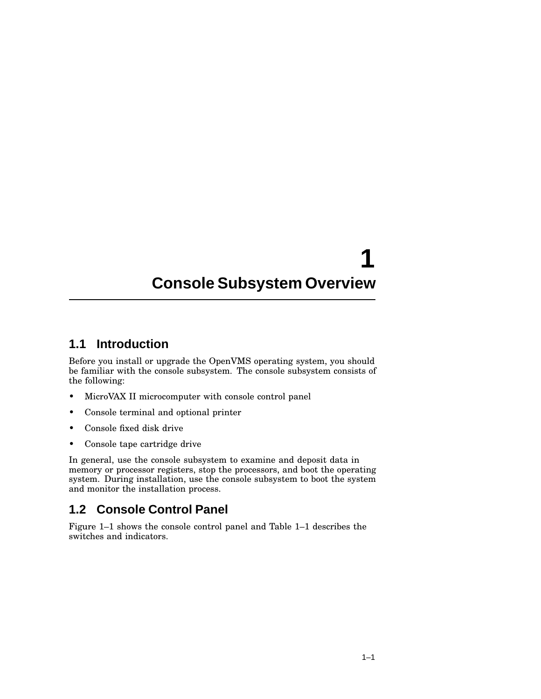# **1 Console Subsystem Overview**

#### **1.1 Introduction**

Before you install or upgrade the OpenVMS operating system, you should be familiar with the console subsystem. The console subsystem consists of the following:

- MicroVAX II microcomputer with console control panel
- Console terminal and optional printer
- Console fixed disk drive
- Console tape cartridge drive

In general, use the console subsystem to examine and deposit data in memory or processor registers, stop the processors, and boot the operating system. During installation, use the console subsystem to boot the system and monitor the installation process.

## **1.2 Console Control Panel**

Figure 1–1 shows the console control panel and Table 1–1 describes the switches and indicators.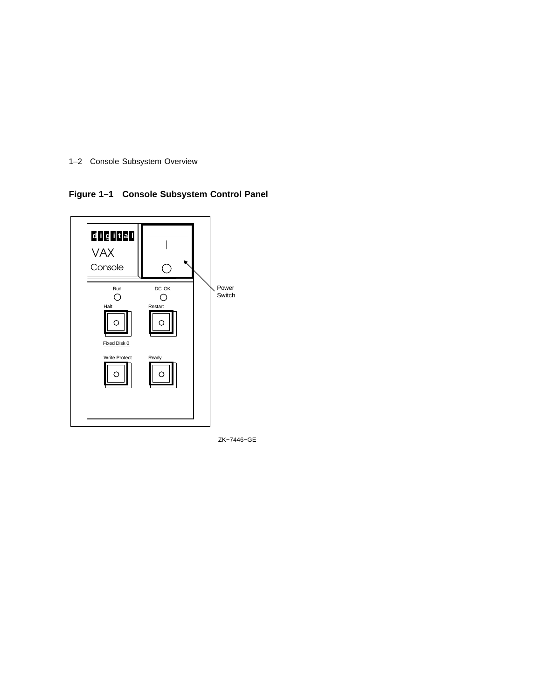

**Figure 1–1 Console Subsystem Control Panel**



ZK−7446−GE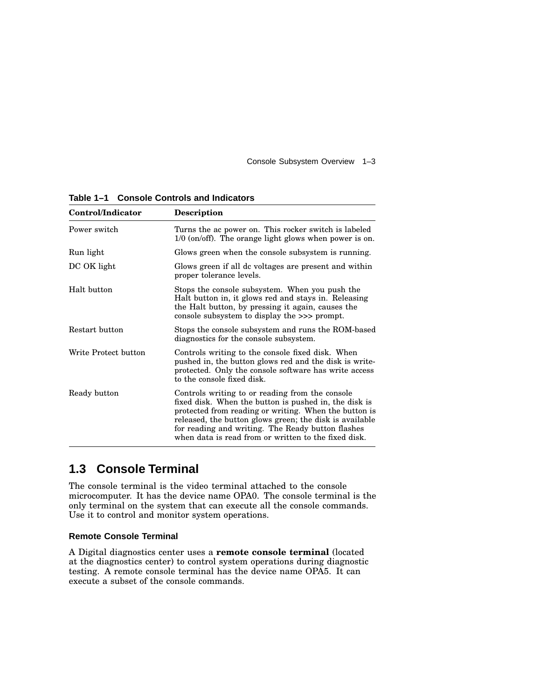Console Subsystem Overview 1–3

| Control/Indicator    | <b>Description</b>                                                                                                                                                                                                                                                                                                                        |  |
|----------------------|-------------------------------------------------------------------------------------------------------------------------------------------------------------------------------------------------------------------------------------------------------------------------------------------------------------------------------------------|--|
| Power switch         | Turns the ac power on. This rocker switch is labeled<br>$1/0$ (on/off). The orange light glows when power is on.                                                                                                                                                                                                                          |  |
| Run light            | Glows green when the console subsystem is running.                                                                                                                                                                                                                                                                                        |  |
| DC OK light          | Glows green if all dc voltages are present and within<br>proper tolerance levels.                                                                                                                                                                                                                                                         |  |
| Halt button          | Stops the console subsystem. When you push the<br>Halt button in, it glows red and stays in. Releasing<br>the Halt button, by pressing it again, causes the<br>console subsystem to display the $\gg$ prompt.                                                                                                                             |  |
| Restart button       | Stops the console subsystem and runs the ROM-based<br>diagnostics for the console subsystem.                                                                                                                                                                                                                                              |  |
| Write Protect button | Controls writing to the console fixed disk. When<br>pushed in, the button glows red and the disk is write-<br>protected. Only the console software has write access<br>to the console fixed disk.                                                                                                                                         |  |
| Ready button         | Controls writing to or reading from the console<br>fixed disk. When the button is pushed in, the disk is<br>protected from reading or writing. When the button is<br>released, the button glows green; the disk is available<br>for reading and writing. The Ready button flashes<br>when data is read from or written to the fixed disk. |  |

**Table 1–1 Console Controls and Indicators**

## **1.3 Console Terminal**

The console terminal is the video terminal attached to the console microcomputer. It has the device name OPA0. The console terminal is the only terminal on the system that can execute all the console commands. Use it to control and monitor system operations.

#### **Remote Console Terminal**

A Digital diagnostics center uses a **remote console terminal** (located at the diagnostics center) to control system operations during diagnostic testing. A remote console terminal has the device name OPA5. It can execute a subset of the console commands.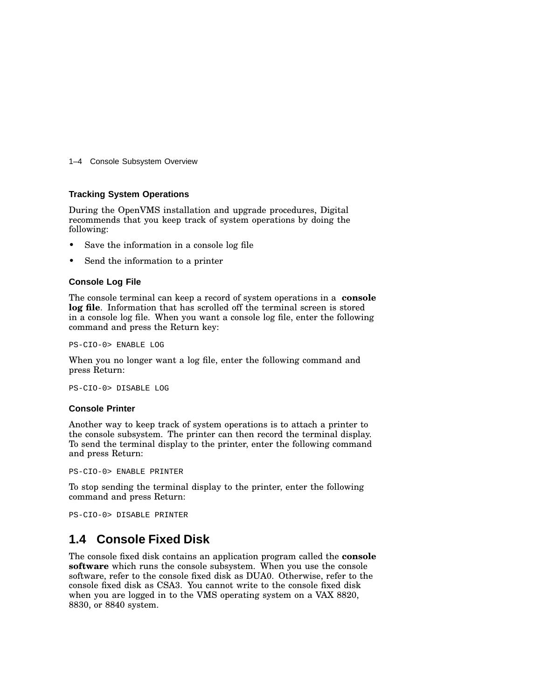1–4 Console Subsystem Overview

#### **Tracking System Operations**

During the OpenVMS installation and upgrade procedures, Digital recommends that you keep track of system operations by doing the following:

- Save the information in a console log file
- Send the information to a printer

#### **Console Log File**

The console terminal can keep a record of system operations in a **console log file**. Information that has scrolled off the terminal screen is stored in a console log file. When you want a console log file, enter the following command and press the Return key:

PS-CIO-0> ENABLE LOG

When you no longer want a log file, enter the following command and press Return:

PS-CIO-0> DISABLE LOG

#### **Console Printer**

Another way to keep track of system operations is to attach a printer to the console subsystem. The printer can then record the terminal display. To send the terminal display to the printer, enter the following command and press Return:

PS-CIO-0> ENABLE PRINTER

To stop sending the terminal display to the printer, enter the following command and press Return:

PS-CIO-0> DISABLE PRINTER

#### **1.4 Console Fixed Disk**

The console fixed disk contains an application program called the **console software** which runs the console subsystem. When you use the console software, refer to the console fixed disk as DUA0. Otherwise, refer to the console fixed disk as CSA3. You cannot write to the console fixed disk when you are logged in to the VMS operating system on a VAX 8820, 8830, or 8840 system.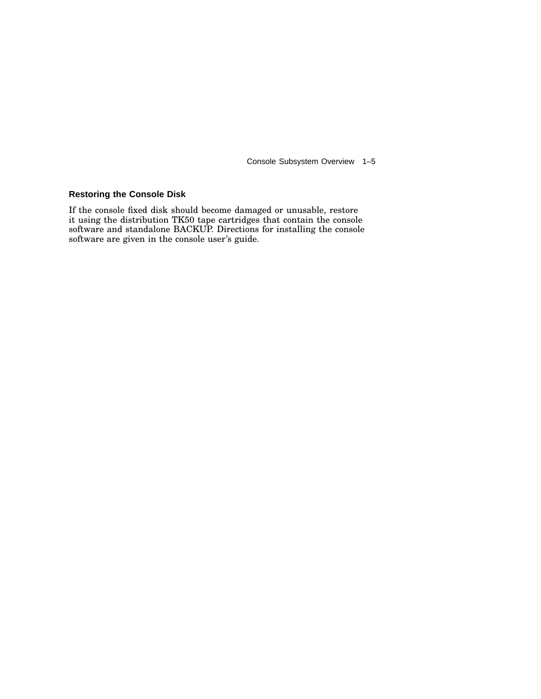Console Subsystem Overview 1–5

#### **Restoring the Console Disk**

If the console fixed disk should become damaged or unusable, restore it using the distribution TK50 tape cartridges that contain the console software and standalone BACKUP. Directions for installing the console software are given in the console user's guide.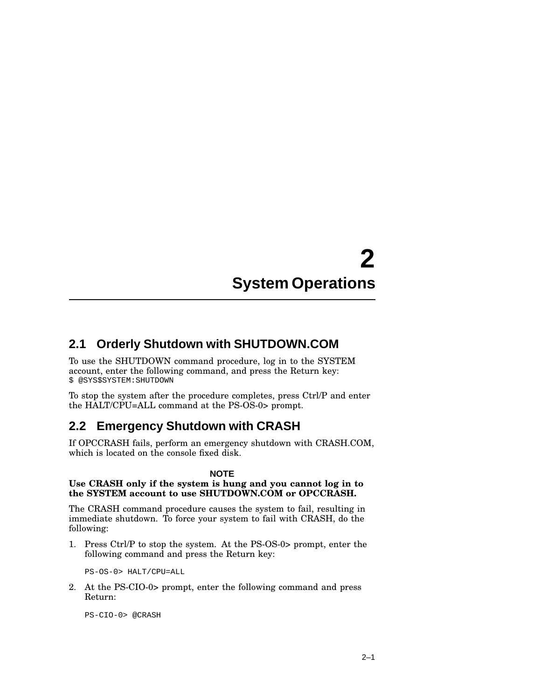# **2 System Operations**

#### **2.1 Orderly Shutdown with SHUTDOWN.COM**

To use the SHUTDOWN command procedure, log in to the SYSTEM account, enter the following command, and press the Return key: \$ @SYS\$SYSTEM:SHUTDOWN

To stop the system after the procedure completes, press Ctrl/P and enter the HALT/CPU=ALL command at the PS-OS-0> prompt.

## **2.2 Emergency Shutdown with CRASH**

If OPCCRASH fails, perform an emergency shutdown with CRASH.COM, which is located on the console fixed disk.

#### **NOTE**

#### **Use CRASH only if the system is hung and you cannot log in to the SYSTEM account to use SHUTDOWN.COM or OPCCRASH.**

The CRASH command procedure causes the system to fail, resulting in immediate shutdown. To force your system to fail with CRASH, do the following:

1. Press Ctrl/P to stop the system. At the PS-OS-0> prompt, enter the following command and press the Return key:

PS-OS-0> HALT/CPU=ALL

2. At the PS-CIO-0> prompt, enter the following command and press Return:

PS-CIO-0> @CRASH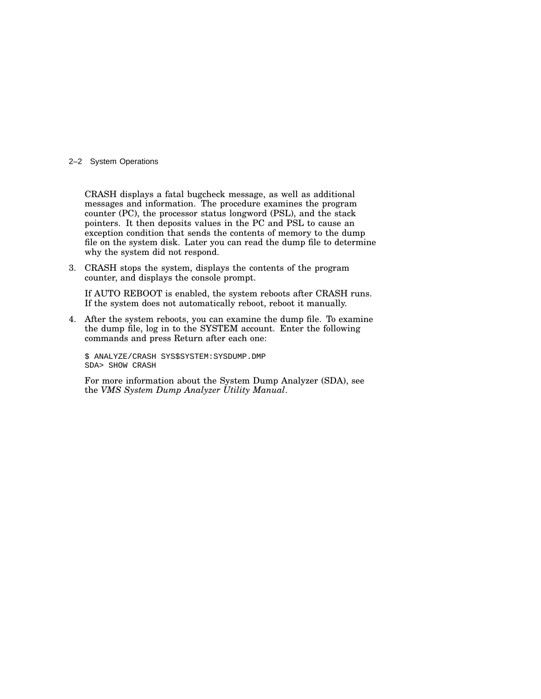#### 2–2 System Operations

CRASH displays a fatal bugcheck message, as well as additional messages and information. The procedure examines the program counter (PC), the processor status longword (PSL), and the stack pointers. It then deposits values in the PC and PSL to cause an exception condition that sends the contents of memory to the dump file on the system disk. Later you can read the dump file to determine why the system did not respond.

3. CRASH stops the system, displays the contents of the program counter, and displays the console prompt.

If AUTO REBOOT is enabled, the system reboots after CRASH runs. If the system does not automatically reboot, reboot it manually.

4. After the system reboots, you can examine the dump file. To examine the dump file, log in to the SYSTEM account. Enter the following commands and press Return after each one:

\$ ANALYZE/CRASH SYS\$SYSTEM:SYSDUMP.DMP SDA> SHOW CRASH

For more information about the System Dump Analyzer (SDA), see the *VMS System Dump Analyzer Utility Manual*.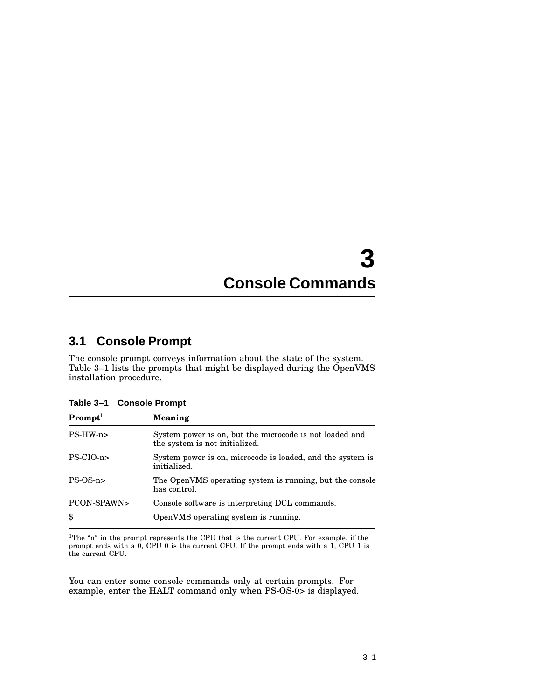## **3 Console Commands**

### **3.1 Console Prompt**

The console prompt conveys information about the state of the system. Table 3–1 lists the prompts that might be displayed during the OpenVMS installation procedure.

**Table 3–1 Console Prompt**

| Prompt <sup>1</sup> | Meaning                                                                                   |
|---------------------|-------------------------------------------------------------------------------------------|
| $PS-HW-n$           | System power is on, but the microcode is not loaded and<br>the system is not initialized. |
| $PS-ClO-n$          | System power is on, microcode is loaded, and the system is<br>initialized.                |
| $PS-OS-n$           | The OpenVMS operating system is running, but the console<br>has control.                  |
| PCON-SPAWN><br>\$   | Console software is interpreting DCL commands.<br>OpenVMS operating system is running.    |

 $1$ The "n" in the prompt represents the CPU that is the current CPU. For example, if the prompt ends with a 0, CPU 0 is the current CPU. If the prompt ends with a 1, CPU 1 is the current CPU.

You can enter some console commands only at certain prompts. For example, enter the HALT command only when PS-OS-0> is displayed.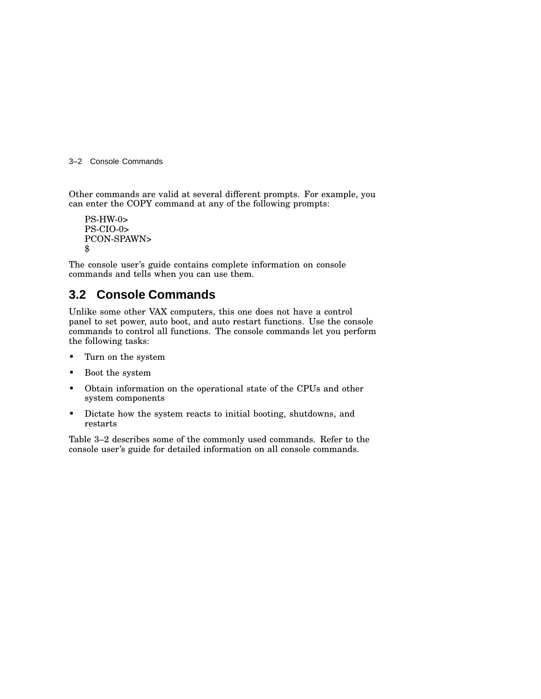3–2 Console Commands

Other commands are valid at several different prompts. For example, you can enter the COPY command at any of the following prompts:

PS-HW-0> PS-CIO-0> PCON-SPAWN> \$

The console user's guide contains complete information on console commands and tells when you can use them.

### **3.2 Console Commands**

Unlike some other VAX computers, this one does not have a control panel to set power, auto boot, and auto restart functions. Use the console commands to control all functions. The console commands let you perform the following tasks:

- Turn on the system
- Boot the system
- Obtain information on the operational state of the CPUs and other system components
- Dictate how the system reacts to initial booting, shutdowns, and restarts

Table 3–2 describes some of the commonly used commands. Refer to the console user's guide for detailed information on all console commands.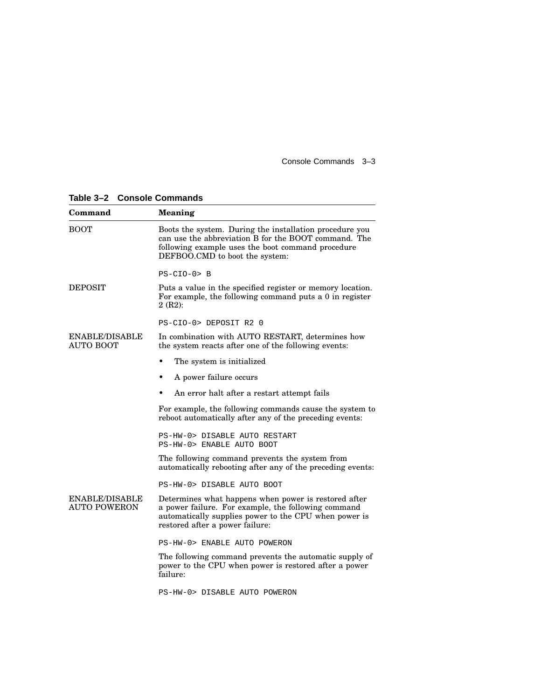Console Commands 3–3

| Table 3-2 Console Commands |  |  |
|----------------------------|--|--|
|----------------------------|--|--|

| Command                                      | <b>Meaning</b>                                                                                                                                                                                          |  |  |
|----------------------------------------------|---------------------------------------------------------------------------------------------------------------------------------------------------------------------------------------------------------|--|--|
| <b>BOOT</b>                                  | Boots the system. During the installation procedure you<br>can use the abbreviation B for the BOOT command. The<br>following example uses the boot command procedure<br>DEFBOO.CMD to boot the system:  |  |  |
|                                              | $PS- CIO-0 > B$                                                                                                                                                                                         |  |  |
| <b>DEPOSIT</b>                               | Puts a value in the specified register or memory location.<br>For example, the following command puts a 0 in register<br>2(R2):                                                                         |  |  |
|                                              | PS-CIO-0> DEPOSIT R2 0                                                                                                                                                                                  |  |  |
| <b>ENABLE/DISABLE</b><br><b>AUTO BOOT</b>    | In combination with AUTO RESTART, determines how<br>the system reacts after one of the following events:                                                                                                |  |  |
|                                              | The system is initialized                                                                                                                                                                               |  |  |
|                                              | A power failure occurs<br>٠                                                                                                                                                                             |  |  |
|                                              | An error halt after a restart attempt fails                                                                                                                                                             |  |  |
|                                              | For example, the following commands cause the system to<br>reboot automatically after any of the preceding events:                                                                                      |  |  |
|                                              | PS-HW-0> DISABLE AUTO RESTART<br>PS-HW-0> ENABLE AUTO BOOT                                                                                                                                              |  |  |
|                                              | The following command prevents the system from<br>automatically rebooting after any of the preceding events:                                                                                            |  |  |
|                                              | PS-HW-0> DISABLE AUTO BOOT                                                                                                                                                                              |  |  |
| <b>ENABLE/DISABLE</b><br><b>AUTO POWERON</b> | Determines what happens when power is restored after<br>a power failure. For example, the following command<br>automatically supplies power to the CPU when power is<br>restored after a power failure: |  |  |
|                                              | PS-HW-0> ENABLE AUTO POWERON                                                                                                                                                                            |  |  |
|                                              | The following command prevents the automatic supply of<br>power to the CPU when power is restored after a power<br>failure:                                                                             |  |  |
|                                              | PS-HW-0> DISABLE AUTO POWERON                                                                                                                                                                           |  |  |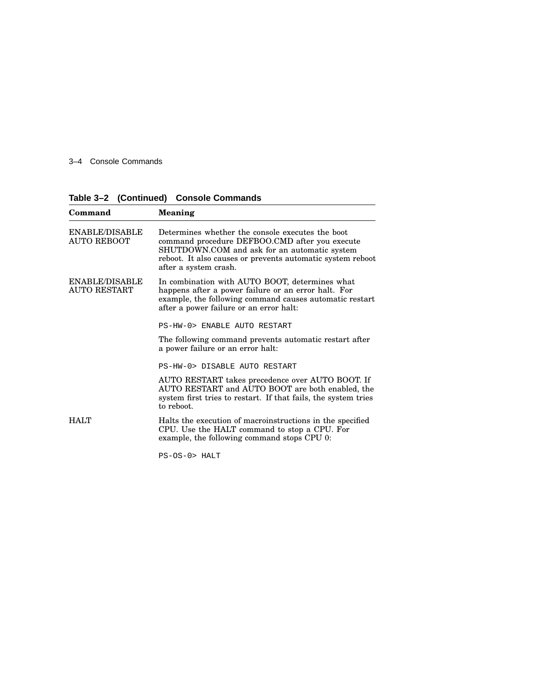3–4 Console Commands

| Command                               | Meaning                                                                                                                                                                                                                                   |  |
|---------------------------------------|-------------------------------------------------------------------------------------------------------------------------------------------------------------------------------------------------------------------------------------------|--|
| ENABLE/DISABLE<br><b>AUTO REBOOT</b>  | Determines whether the console executes the boot<br>command procedure DEFBOO.CMD after you execute<br>SHUTDOWN.COM and ask for an automatic system<br>reboot. It also causes or prevents automatic system reboot<br>after a system crash. |  |
| ENABLE/DISABLE<br><b>AUTO RESTART</b> | In combination with AUTO BOOT, determines what<br>happens after a power failure or an error halt. For<br>example, the following command causes automatic restart<br>after a power failure or an error halt:                               |  |
|                                       | PS-HW-0> ENABLE AUTO RESTART                                                                                                                                                                                                              |  |
|                                       | The following command prevents automatic restart after<br>a power failure or an error halt:                                                                                                                                               |  |
|                                       | PS-HW-0> DISABLE AUTO RESTART                                                                                                                                                                                                             |  |
|                                       | AUTO RESTART takes precedence over AUTO BOOT. If<br>AUTO RESTART and AUTO BOOT are both enabled, the<br>system first tries to restart. If that fails, the system tries<br>to reboot.                                                      |  |
| <b>HALT</b>                           | Halts the execution of macroinstructions in the specified<br>CPU. Use the HALT command to stop a CPU. For<br>example, the following command stops CPU 0:                                                                                  |  |
|                                       | $PS-OS-0$ HALT                                                                                                                                                                                                                            |  |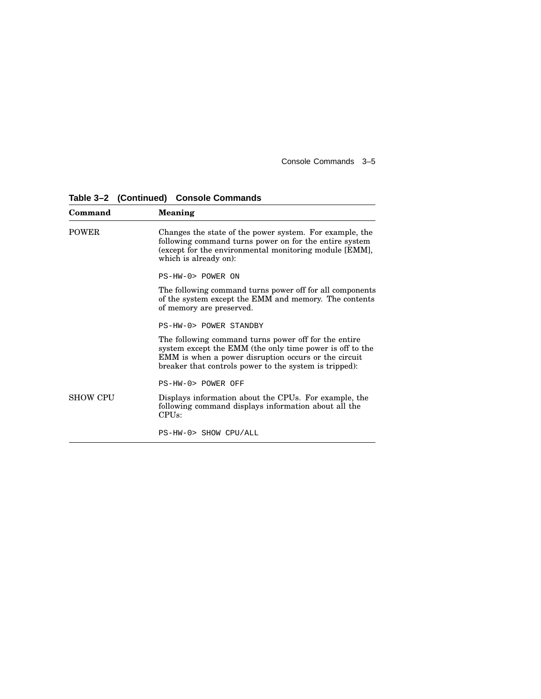Console Commands 3–5

| Command         | Meaning                                                                                                                                                                                                                            |
|-----------------|------------------------------------------------------------------------------------------------------------------------------------------------------------------------------------------------------------------------------------|
| <b>POWER</b>    | Changes the state of the power system. For example, the<br>following command turns power on for the entire system<br>(except for the environmental monitoring module [EMM],<br>which is already on):                               |
|                 | PS-HW-0> POWER ON                                                                                                                                                                                                                  |
|                 | The following command turns power off for all components<br>of the system except the EMM and memory. The contents<br>of memory are preserved.                                                                                      |
|                 | PS-HW-0> POWER STANDRY                                                                                                                                                                                                             |
|                 | The following command turns power off for the entire<br>system except the EMM (the only time power is off to the<br>EMM is when a power disruption occurs or the circuit<br>breaker that controls power to the system is tripped): |
|                 | PS-HW-0> POWER OFF                                                                                                                                                                                                                 |
| <b>SHOW CPU</b> | Displays information about the CPUs. For example, the<br>following command displays information about all the<br>CPIJs:                                                                                                            |
|                 | PS-HW-0> SHOW CPU/ALL                                                                                                                                                                                                              |

**Table 3–2 (Continued) Console Commands**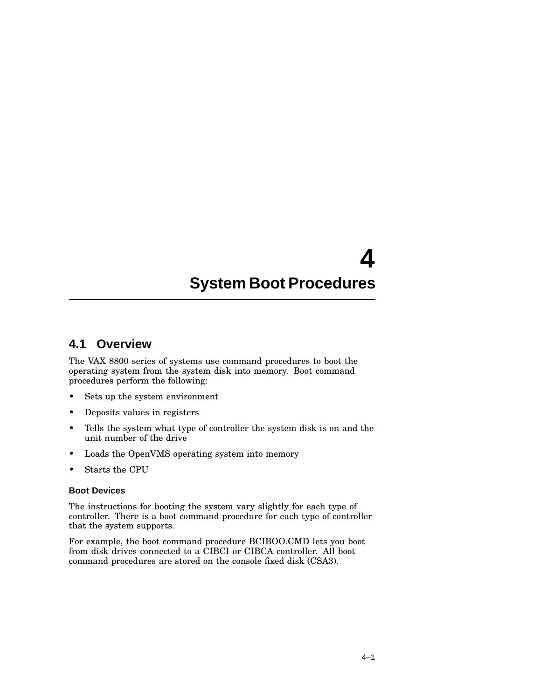# **4 System Boot Procedures**

#### **4.1 Overview**

The VAX 8800 series of systems use command procedures to boot the operating system from the system disk into memory. Boot command procedures perform the following:

- Sets up the system environment
- Deposits values in registers
- Tells the system what type of controller the system disk is on and the unit number of the drive
- Loads the OpenVMS operating system into memory
- Starts the CPU

#### **Boot Devices**

The instructions for booting the system vary slightly for each type of controller. There is a boot command procedure for each type of controller that the system supports.

For example, the boot command procedure BCIBOO.CMD lets you boot from disk drives connected to a CIBCI or CIBCA controller. All boot command procedures are stored on the console fixed disk (CSA3).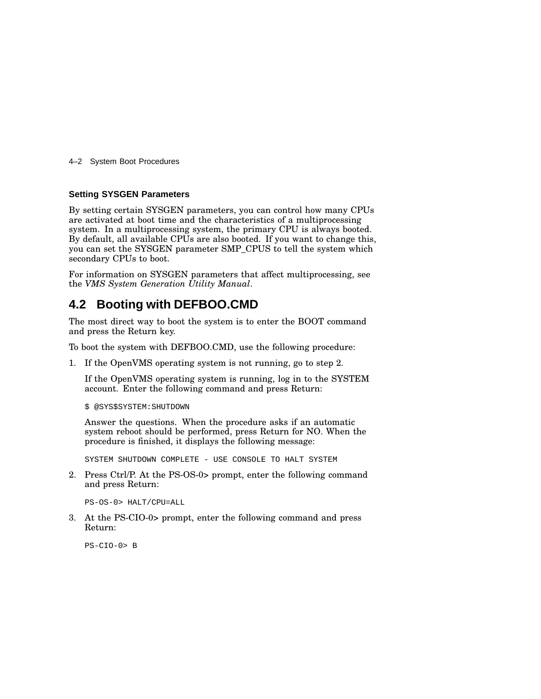4–2 System Boot Procedures

#### **Setting SYSGEN Parameters**

By setting certain SYSGEN parameters, you can control how many CPUs are activated at boot time and the characteristics of a multiprocessing system. In a multiprocessing system, the primary CPU is always booted. By default, all available CPUs are also booted. If you want to change this, you can set the SYSGEN parameter SMP\_CPUS to tell the system which secondary CPUs to boot.

For information on SYSGEN parameters that affect multiprocessing, see the *VMS System Generation Utility Manual*.

### **4.2 Booting with DEFBOO.CMD**

The most direct way to boot the system is to enter the BOOT command and press the Return key.

To boot the system with DEFBOO.CMD, use the following procedure:

1. If the OpenVMS operating system is not running, go to step 2.

If the OpenVMS operating system is running, log in to the SYSTEM account. Enter the following command and press Return:

\$ @SYS\$SYSTEM:SHUTDOWN

Answer the questions. When the procedure asks if an automatic system reboot should be performed, press Return for NO. When the procedure is finished, it displays the following message:

SYSTEM SHUTDOWN COMPLETE - USE CONSOLE TO HALT SYSTEM

2. Press Ctrl/P. At the PS-OS-0> prompt, enter the following command and press Return:

PS-OS-0> HALT/CPU=ALL

3. At the PS-CIO-0> prompt, enter the following command and press Return:

PS-CIO-0> B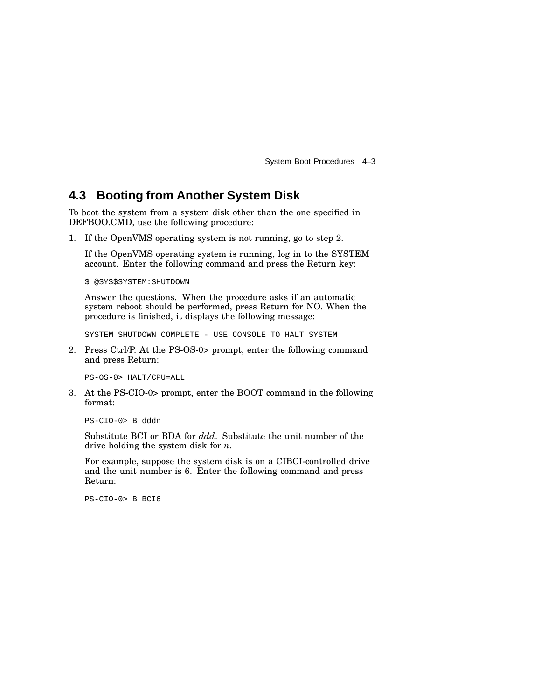System Boot Procedures 4–3

#### **4.3 Booting from Another System Disk**

To boot the system from a system disk other than the one specified in DEFBOO.CMD, use the following procedure:

1. If the OpenVMS operating system is not running, go to step 2.

If the OpenVMS operating system is running, log in to the SYSTEM account. Enter the following command and press the Return key:

\$ @SYS\$SYSTEM:SHUTDOWN

Answer the questions. When the procedure asks if an automatic system reboot should be performed, press Return for NO. When the procedure is finished, it displays the following message:

SYSTEM SHUTDOWN COMPLETE - USE CONSOLE TO HALT SYSTEM

2. Press Ctrl/P. At the PS-OS-0> prompt, enter the following command and press Return:

PS-OS-0> HALT/CPU=ALL

3. At the PS-CIO-0> prompt, enter the BOOT command in the following format:

PS-CIO-0> B dddn

Substitute BCI or BDA for *ddd*. Substitute the unit number of the drive holding the system disk for *n*.

For example, suppose the system disk is on a CIBCI-controlled drive and the unit number is 6. Enter the following command and press Return:

PS-CIO-0> B BCI6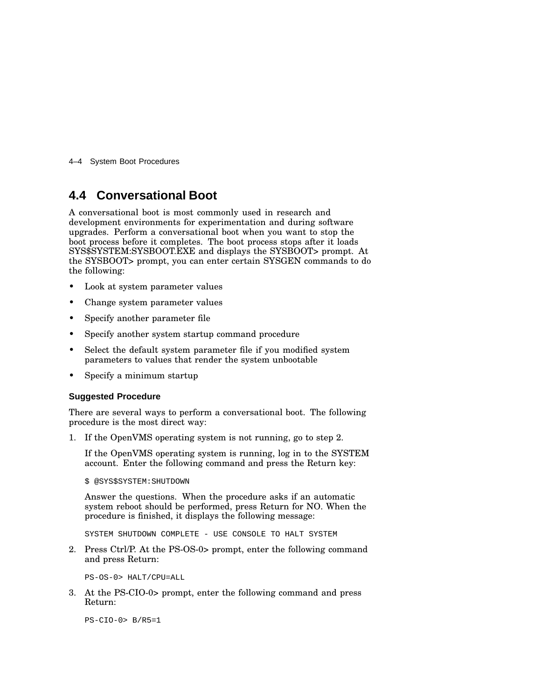4–4 System Boot Procedures

#### **4.4 Conversational Boot**

A conversational boot is most commonly used in research and development environments for experimentation and during software upgrades. Perform a conversational boot when you want to stop the boot process before it completes. The boot process stops after it loads SYS\$SYSTEM:SYSBOOT.EXE and displays the SYSBOOT> prompt. At the SYSBOOT> prompt, you can enter certain SYSGEN commands to do the following:

- Look at system parameter values
- Change system parameter values
- Specify another parameter file
- Specify another system startup command procedure
- Select the default system parameter file if you modified system parameters to values that render the system unbootable
- Specify a minimum startup

#### **Suggested Procedure**

There are several ways to perform a conversational boot. The following procedure is the most direct way:

1. If the OpenVMS operating system is not running, go to step 2.

If the OpenVMS operating system is running, log in to the SYSTEM account. Enter the following command and press the Return key:

\$ @SYS\$SYSTEM:SHUTDOWN

Answer the questions. When the procedure asks if an automatic system reboot should be performed, press Return for NO. When the procedure is finished, it displays the following message:

SYSTEM SHUTDOWN COMPLETE - USE CONSOLE TO HALT SYSTEM

2. Press Ctrl/P. At the PS-OS-0> prompt, enter the following command and press Return:

PS-OS-0> HALT/CPU=ALL

3. At the PS-CIO-0> prompt, enter the following command and press Return:

PS-CIO-0> B/R5=1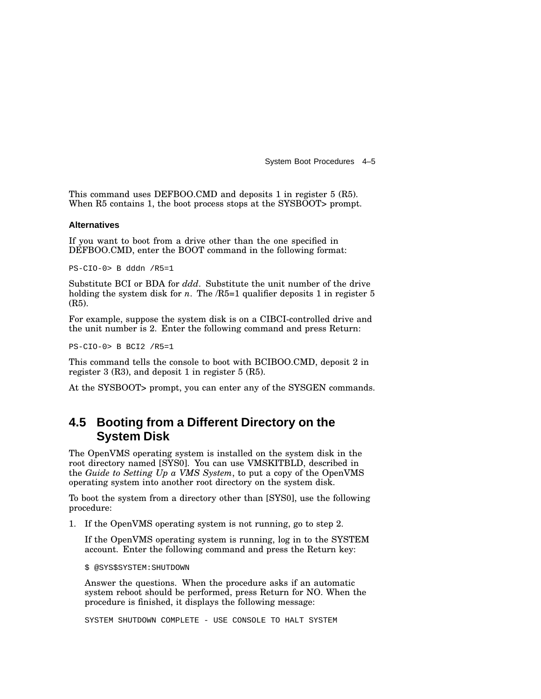System Boot Procedures 4–5

This command uses DEFBOO.CMD and deposits 1 in register 5 (R5). When R5 contains 1, the boot process stops at the SYSBOOT> prompt.

#### **Alternatives**

If you want to boot from a drive other than the one specified in DEFBOO.CMD, enter the BOOT command in the following format:

PS-CIO-0> B dddn /R5=1

Substitute BCI or BDA for *ddd*. Substitute the unit number of the drive holding the system disk for  $n$ . The  $/R5=1$  qualifier deposits 1 in register 5 (R5).

For example, suppose the system disk is on a CIBCI-controlled drive and the unit number is 2. Enter the following command and press Return:

PS-CIO-0> B BCI2 /R5=1

This command tells the console to boot with BCIBOO.CMD, deposit 2 in register 3 (R3), and deposit 1 in register 5 (R5).

At the SYSBOOT> prompt, you can enter any of the SYSGEN commands.

#### **4.5 Booting from a Different Directory on the System Disk**

The OpenVMS operating system is installed on the system disk in the root directory named [SYS0]. You can use VMSKITBLD, described in the *Guide to Setting Up a VMS System*, to put a copy of the OpenVMS operating system into another root directory on the system disk.

To boot the system from a directory other than [SYS0], use the following procedure:

1. If the OpenVMS operating system is not running, go to step 2.

If the OpenVMS operating system is running, log in to the SYSTEM account. Enter the following command and press the Return key:

\$ @SYS\$SYSTEM:SHUTDOWN

Answer the questions. When the procedure asks if an automatic system reboot should be performed, press Return for NO. When the procedure is finished, it displays the following message:

SYSTEM SHUTDOWN COMPLETE - USE CONSOLE TO HALT SYSTEM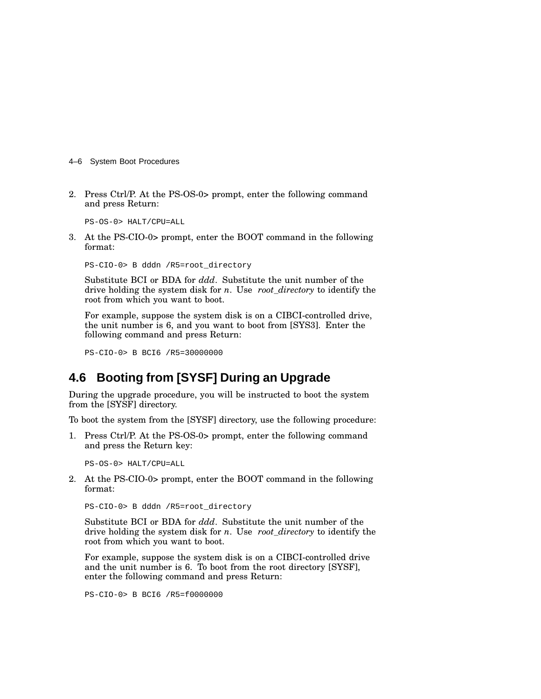- 4–6 System Boot Procedures
- 2. Press Ctrl/P. At the PS-OS-0> prompt, enter the following command and press Return:

PS-OS-0> HALT/CPU=ALL

3. At the PS-CIO-0> prompt, enter the BOOT command in the following format:

PS-CIO-0> B dddn /R5=root\_directory

Substitute BCI or BDA for *ddd*. Substitute the unit number of the drive holding the system disk for *n*. Use *root\_directory* to identify the root from which you want to boot.

For example, suppose the system disk is on a CIBCI-controlled drive, the unit number is 6, and you want to boot from [SYS3]. Enter the following command and press Return:

PS-CIO-0> B BCI6 /R5=30000000

#### **4.6 Booting from [SYSF] During an Upgrade**

During the upgrade procedure, you will be instructed to boot the system from the [SYSF] directory.

To boot the system from the [SYSF] directory, use the following procedure:

1. Press Ctrl/P. At the PS-OS-0> prompt, enter the following command and press the Return key:

PS-OS-0> HALT/CPU=ALL

2. At the PS-CIO-0> prompt, enter the BOOT command in the following format:

PS-CIO-0> B dddn /R5=root\_directory

Substitute BCI or BDA for *ddd*. Substitute the unit number of the drive holding the system disk for *n*. Use *root\_directory* to identify the root from which you want to boot.

For example, suppose the system disk is on a CIBCI-controlled drive and the unit number is 6. To boot from the root directory [SYSF], enter the following command and press Return:

PS-CIO-0> B BCI6 /R5=f0000000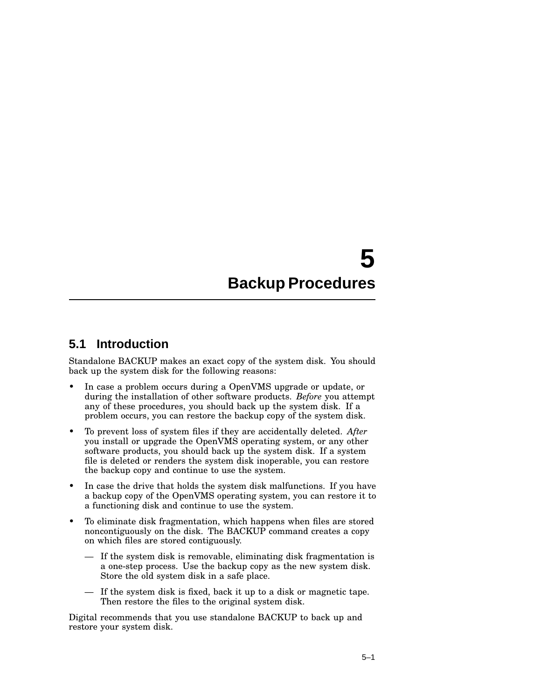# **5 Backup Procedures**

#### **5.1 Introduction**

Standalone BACKUP makes an exact copy of the system disk. You should back up the system disk for the following reasons:

- In case a problem occurs during a OpenVMS upgrade or update, or during the installation of other software products. *Before* you attempt any of these procedures, you should back up the system disk. If a problem occurs, you can restore the backup copy of the system disk.
- To prevent loss of system files if they are accidentally deleted. *After* you install or upgrade the OpenVMS operating system, or any other software products, you should back up the system disk. If a system file is deleted or renders the system disk inoperable, you can restore the backup copy and continue to use the system.
- In case the drive that holds the system disk malfunctions. If you have a backup copy of the OpenVMS operating system, you can restore it to a functioning disk and continue to use the system.
- To eliminate disk fragmentation, which happens when files are stored noncontiguously on the disk. The BACKUP command creates a copy on which files are stored contiguously.
	- If the system disk is removable, eliminating disk fragmentation is a one-step process. Use the backup copy as the new system disk. Store the old system disk in a safe place.
	- If the system disk is fixed, back it up to a disk or magnetic tape. Then restore the files to the original system disk.

Digital recommends that you use standalone BACKUP to back up and restore your system disk.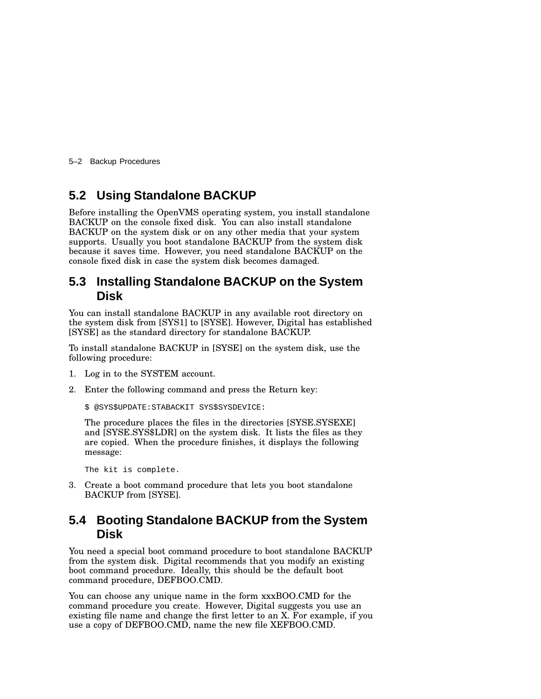5–2 Backup Procedures

### **5.2 Using Standalone BACKUP**

Before installing the OpenVMS operating system, you install standalone BACKUP on the console fixed disk. You can also install standalone BACKUP on the system disk or on any other media that your system supports. Usually you boot standalone BACKUP from the system disk because it saves time. However, you need standalone BACKUP on the console fixed disk in case the system disk becomes damaged.

#### **5.3 Installing Standalone BACKUP on the System Disk**

You can install standalone BACKUP in any available root directory on the system disk from [SYS1] to [SYSE]. However, Digital has established [SYSE] as the standard directory for standalone BACKUP.

To install standalone BACKUP in [SYSE] on the system disk, use the following procedure:

- 1. Log in to the SYSTEM account.
- 2. Enter the following command and press the Return key:

```
$ @SYS$UPDATE:STABACKIT SYS$SYSDEVICE:
```
The procedure places the files in the directories [SYSE.SYSEXE] and [SYSE.SYS\$LDR] on the system disk. It lists the files as they are copied. When the procedure finishes, it displays the following message:

The kit is complete.

3. Create a boot command procedure that lets you boot standalone BACKUP from [SYSE].

#### **5.4 Booting Standalone BACKUP from the System Disk**

You need a special boot command procedure to boot standalone BACKUP from the system disk. Digital recommends that you modify an existing boot command procedure. Ideally, this should be the default boot command procedure, DEFBOO.CMD.

You can choose any unique name in the form xxxBOO.CMD for the command procedure you create. However, Digital suggests you use an existing file name and change the first letter to an X. For example, if you use a copy of DEFBOO.CMD, name the new file XEFBOO.CMD.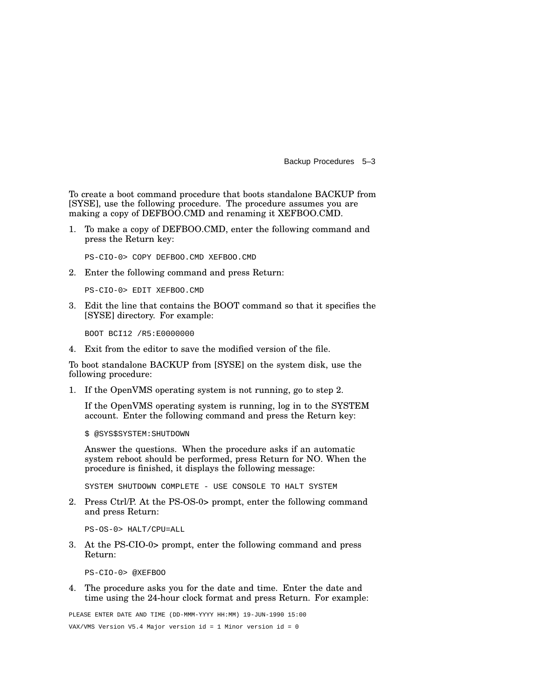Backup Procedures 5–3

To create a boot command procedure that boots standalone BACKUP from [SYSE], use the following procedure. The procedure assumes you are making a copy of DEFBOO.CMD and renaming it XEFBOO.CMD.

1. To make a copy of DEFBOO.CMD, enter the following command and press the Return key:

PS-CIO-0> COPY DEFBOO.CMD XEFBOO.CMD

2. Enter the following command and press Return:

PS-CIO-0> EDIT XEFBOO.CMD

3. Edit the line that contains the BOOT command so that it specifies the [SYSE] directory. For example:

BOOT BCI12 /R5:E0000000

4. Exit from the editor to save the modified version of the file.

To boot standalone BACKUP from [SYSE] on the system disk, use the following procedure:

1. If the OpenVMS operating system is not running, go to step 2.

If the OpenVMS operating system is running, log in to the SYSTEM account. Enter the following command and press the Return key:

\$ @SYS\$SYSTEM:SHUTDOWN

Answer the questions. When the procedure asks if an automatic system reboot should be performed, press Return for NO. When the procedure is finished, it displays the following message:

SYSTEM SHUTDOWN COMPLETE - USE CONSOLE TO HALT SYSTEM

2. Press Ctrl/P. At the PS-OS-0> prompt, enter the following command and press Return:

PS-OS-0> HALT/CPU=ALL

3. At the PS-CIO-0> prompt, enter the following command and press Return:

PS-CIO-0> @XEFBOO

4. The procedure asks you for the date and time. Enter the date and time using the 24-hour clock format and press Return. For example:

PLEASE ENTER DATE AND TIME (DD-MMM-YYYY HH:MM) 19-JUN-1990 15:00 VAX/VMS Version V5.4 Major version id = 1 Minor version id = 0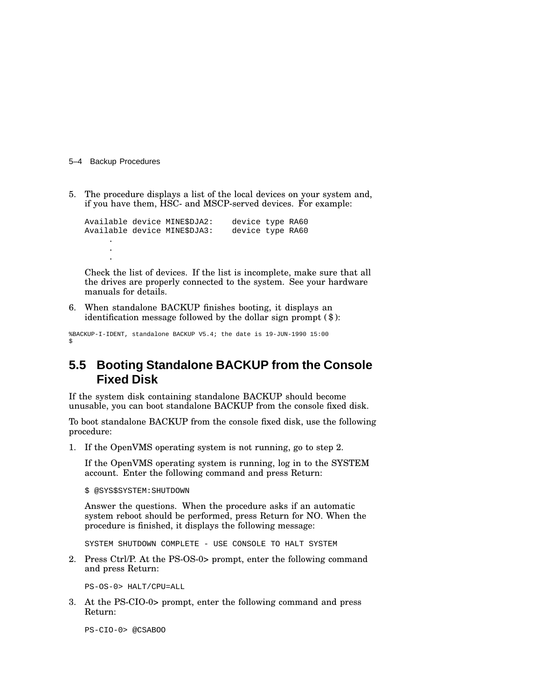5–4 Backup Procedures

5. The procedure displays a list of the local devices on your system and, if you have them, HSC- and MSCP-served devices. For example:

Available device MINE\$DJA2: device type RA60 Available device MINE\$DJA3: device type RA60 . . .

Check the list of devices. If the list is incomplete, make sure that all the drives are properly connected to the system. See your hardware manuals for details.

6. When standalone BACKUP finishes booting, it displays an identification message followed by the dollar sign prompt (\$):

%BACKUP-I-IDENT, standalone BACKUP V5.4; the date is 19-JUN-1990 15:00 \$

### **5.5 Booting Standalone BACKUP from the Console Fixed Disk**

If the system disk containing standalone BACKUP should become unusable, you can boot standalone BACKUP from the console fixed disk.

To boot standalone BACKUP from the console fixed disk, use the following procedure:

1. If the OpenVMS operating system is not running, go to step 2.

If the OpenVMS operating system is running, log in to the SYSTEM account. Enter the following command and press Return:

\$ @SYS\$SYSTEM:SHUTDOWN

Answer the questions. When the procedure asks if an automatic system reboot should be performed, press Return for NO. When the procedure is finished, it displays the following message:

SYSTEM SHUTDOWN COMPLETE - USE CONSOLE TO HALT SYSTEM

2. Press Ctrl/P. At the PS-OS-0> prompt, enter the following command and press Return:

PS-OS-0> HALT/CPU=ALL

3. At the PS-CIO-0> prompt, enter the following command and press Return:

PS-CIO-0> @CSABOO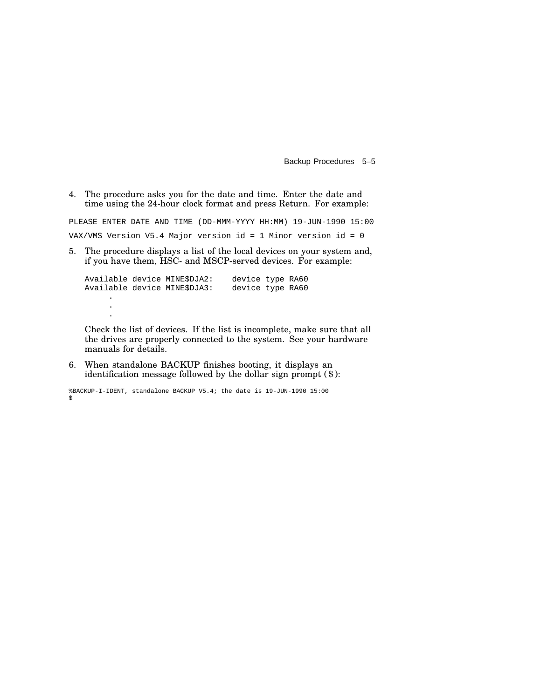Backup Procedures 5–5

4. The procedure asks you for the date and time. Enter the date and time using the 24-hour clock format and press Return. For example:

PLEASE ENTER DATE AND TIME (DD-MMM-YYYY HH:MM) 19-JUN-1990 15:00 VAX/VMS Version V5.4 Major version id = 1 Minor version id = 0

5. The procedure displays a list of the local devices on your system and, if you have them, HSC- and MSCP-served devices. For example:

```
Available device MINE$DJA2: device type RA60
Available device MINE$DJA3: device type RA60
     .
     .
     .
```
Check the list of devices. If the list is incomplete, make sure that all the drives are properly connected to the system. See your hardware manuals for details.

6. When standalone BACKUP finishes booting, it displays an identification message followed by the dollar sign prompt (\$):

```
%BACKUP-I-IDENT, standalone BACKUP V5.4; the date is 19-JUN-1990 15:00
$
```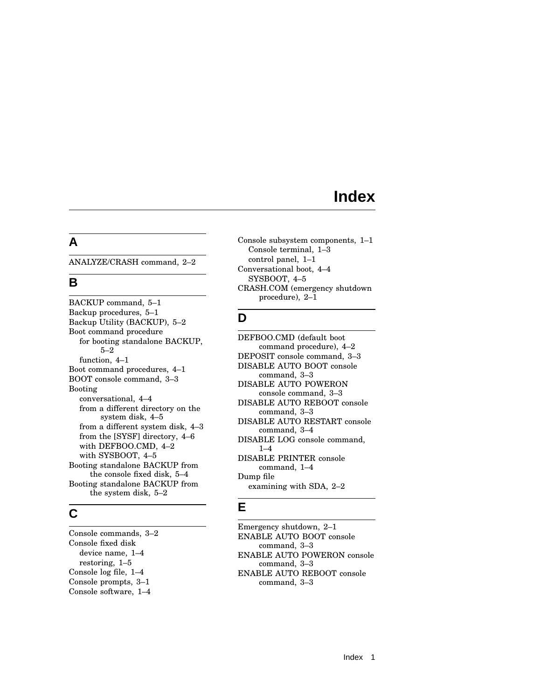## **Index**

#### **A**

ANALYZE/CRASH command, 2–2

### **B**

BACKUP command, 5–1 Backup procedures, 5–1 Backup Utility (BACKUP), 5–2 Boot command procedure for booting standalone BACKUP, 5–2 function, 4–1 Boot command procedures, 4–1 BOOT console command, 3–3 Booting conversational, 4–4 from a different directory on the system disk, 4–5 from a different system disk, 4–3 from the [SYSF] directory, 4–6 with DEFBOO.CMD, 4–2 with SYSBOOT, 4–5 Booting standalone BACKUP from the console fixed disk, 5–4 Booting standalone BACKUP from the system disk, 5–2

## **C**

Console commands, 3–2 Console fixed disk device name, 1–4 restoring, 1–5 Console log file, 1–4 Console prompts, 3–1 Console software, 1–4

Console subsystem components, 1–1 Console terminal, 1–3 control panel, 1–1 Conversational boot, 4–4 SYSBOOT, 4–5 CRASH.COM (emergency shutdown procedure), 2–1

## **D**

DEFBOO.CMD (default boot command procedure), 4–2 DEPOSIT console command, 3–3 DISABLE AUTO BOOT console command, 3–3 DISABLE AUTO POWERON console command, 3–3 DISABLE AUTO REBOOT console command, 3–3 DISABLE AUTO RESTART console command, 3–4 DISABLE LOG console command, 1–4 DISABLE PRINTER console command, 1–4 Dump file examining with SDA, 2–2

#### **E**

Emergency shutdown, 2–1 ENABLE AUTO BOOT console command, 3–3 ENABLE AUTO POWERON console command, 3–3 ENABLE AUTO REBOOT console command, 3–3